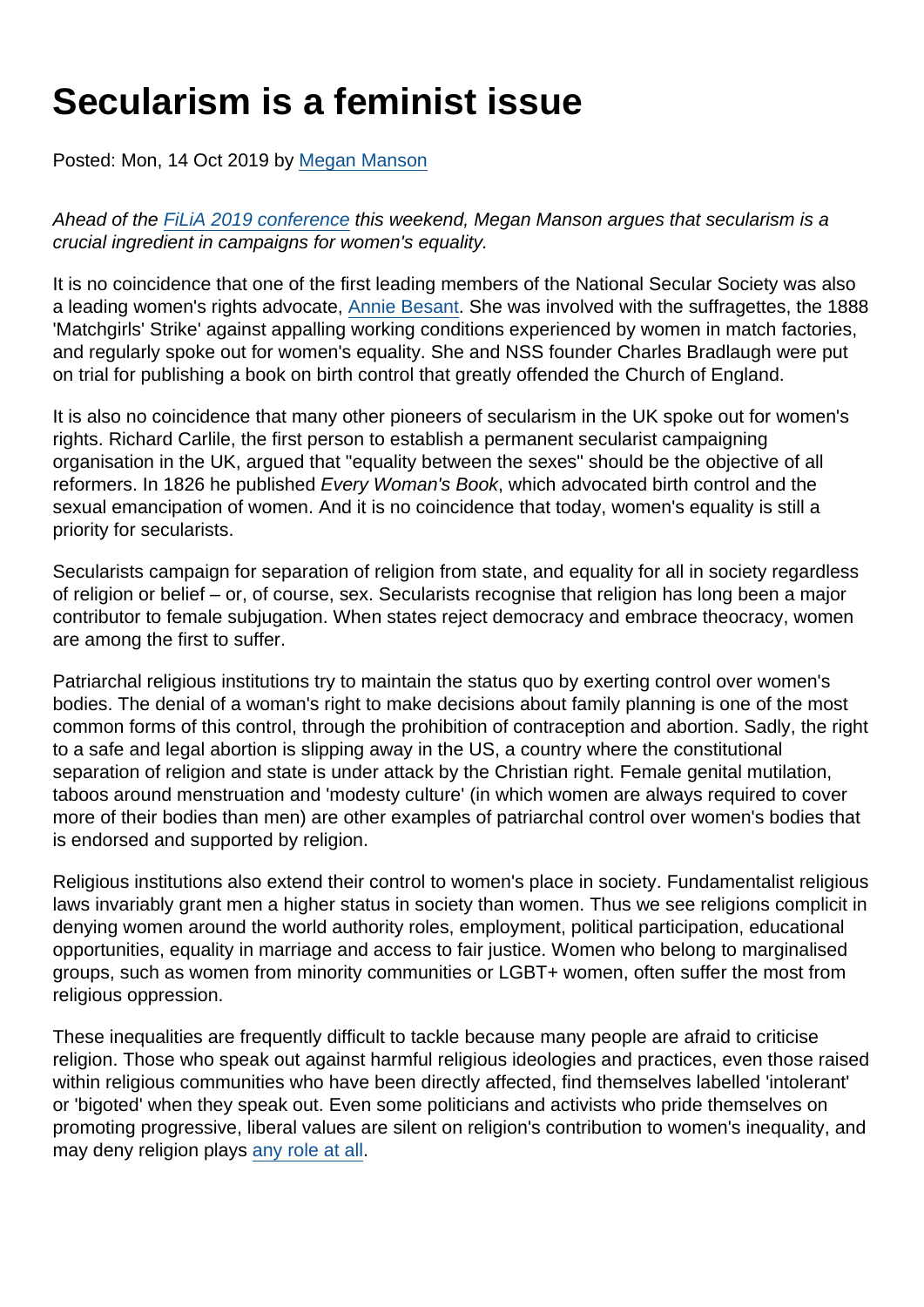## Secularism is a feminist issue

Posted: Mon, 14 Oct 2019 by [Megan Manson](https://www.secularism.org.uk/opinion/authors/971)

Ahead of the [FiLiA 2019 conference](https://filia.org.uk/) this weekend, Megan Manson argues that secularism is a crucial ingredient in campaigns for women's equality.

It is no coincidence that one of the first leading members of the National Secular Society was also a leading women's rights advocate, [Annie Besant.](https://www.secularism.org.uk/annie-besant.html) She was involved with the suffragettes, the 1888 'Matchgirls' Strike' against appalling working conditions experienced by women in match factories, and regularly spoke out for women's equality. She and NSS founder Charles Bradlaugh were put on trial for publishing a book on birth control that greatly offended the Church of England.

It is also no coincidence that many other pioneers of secularism in the UK spoke out for women's rights. Richard Carlile, the first person to establish a permanent secularist campaigning organisation in the UK, argued that "equality between the sexes" should be the objective of all reformers. In 1826 he published Every Woman's Book, which advocated birth control and the sexual emancipation of women. And it is no coincidence that today, women's equality is still a priority for secularists.

Secularists campaign for separation of religion from state, and equality for all in society regardless of religion or belief – or, of course, sex. Secularists recognise that religion has long been a major contributor to female subjugation. When states reject democracy and embrace theocracy, women are among the first to suffer.

Patriarchal religious institutions try to maintain the status quo by exerting control over women's bodies. The denial of a woman's right to make decisions about family planning is one of the most common forms of this control, through the prohibition of contraception and abortion. Sadly, the right to a safe and legal abortion is slipping away in the US, a country where the constitutional separation of religion and state is under attack by the Christian right. Female genital mutilation, taboos around menstruation and 'modesty culture' (in which women are always required to cover more of their bodies than men) are other examples of patriarchal control over women's bodies that is endorsed and supported by religion.

Religious institutions also extend their control to women's place in society. Fundamentalist religious laws invariably grant men a higher status in society than women. Thus we see religions complicit in denying women around the world authority roles, employment, political participation, educational opportunities, equality in marriage and access to fair justice. Women who belong to marginalised groups, such as women from minority communities or LGBT+ women, often suffer the most from religious oppression.

These inequalities are frequently difficult to tackle because many people are afraid to criticise religion. Those who speak out against harmful religious ideologies and practices, even those raised within religious communities who have been directly affected, find themselves labelled 'intolerant' or 'bigoted' when they speak out. Even some politicians and activists who pride themselves on promoting progressive, liberal values are silent on religion's contribution to women's inequality, and may deny religion plays [any role at all](https://www.secularism.org.uk/opinion/2019/03/lets-face-facts-genital-cutting-has-something-to-do-with-religion/).